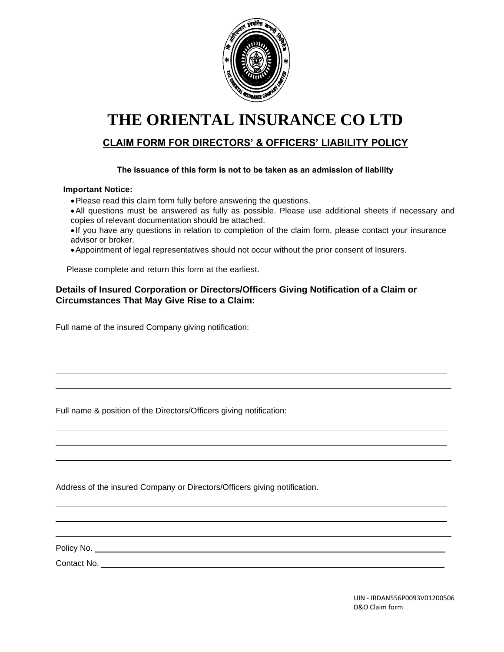

# **THE ORIENTAL INSURANCE CO LTD**

## **CLAIM FORM FOR DIRECTORS' & OFFICERS' LIABILITY POLICY**

#### **The issuance of this form is not to be taken as an admission of liability**

#### **Important Notice:**

- •Please read this claim form fully before answering the questions.
- •All questions must be answered as fully as possible. Please use additional sheets if necessary and copies of relevant documentation should be attached.
- If you have any questions in relation to completion of the claim form, please contact your insurance advisor or broker.
- •Appointment of legal representatives should not occur without the prior consent of Insurers.

Please complete and return this form at the earliest.

#### **Details of Insured Corporation or Directors/Officers Giving Notification of a Claim or Circumstances That May Give Rise to a Claim:**

Full name of the insured Company giving notification:

Full name & position of the Directors/Officers giving notification:

Address of the insured Company or Directors/Officers giving notification.

Policy No.

 $\overline{a}$  $\overline{a}$  $\overline{a}$ 

L  $\overline{a}$  $\overline{a}$ 

 $\overline{a}$  $\overline{a}$  $\overline{a}$ 

Contact No.

 UIN - IRDAN556P0093V01200506 D&O Claim form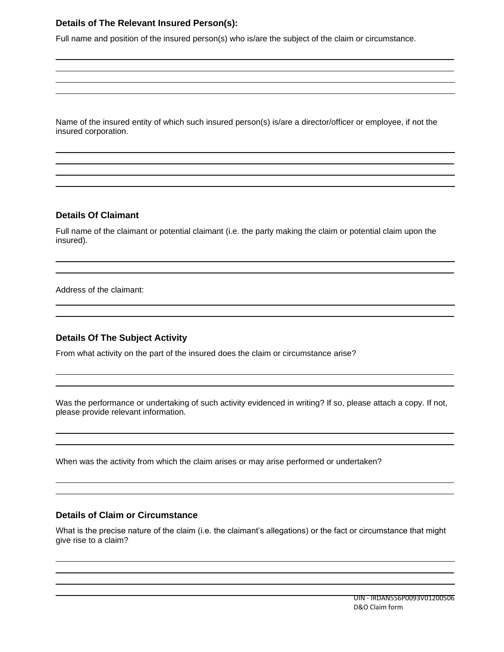### **Details of The Relevant Insured Person(s):**

Full name and position of the insured person(s) who is/are the subject of the claim or circumstance.

Name of the insured entity of which such insured person(s) is/are a director/officer or employee, if not the insured corporation.

#### **Details Of Claimant**

 $\overline{a}$  $\overline{a}$  $\overline{a}$  $\overline{a}$ 

 $\overline{a}$ 

 $\overline{a}$  $\overline{a}$ 

 $\overline{a}$ 

 $\overline{a}$  $\overline{a}$ 

 $\overline{a}$  $\overline{a}$ 

 $\overline{a}$  $\overline{a}$ 

 $\overline{a}$  $\overline{a}$ 

 $\overline{a}$  $\overline{a}$ 

 $\overline{a}$ 

Full name of the claimant or potential claimant (i.e. the party making the claim or potential claim upon the insured).

Address of the claimant:

#### **Details Of The Subject Activity**

From what activity on the part of the insured does the claim or circumstance arise?

Was the performance or undertaking of such activity evidenced in writing? If so, please attach a copy. If not, please provide relevant information.

When was the activity from which the claim arises or may arise performed or undertaken?

#### **Details of Claim or Circumstance**

What is the precise nature of the claim (i.e. the claimant's allegations) or the fact or circumstance that might give rise to a claim?

 $\overline{a}$ 

 $\overline{a}$ 

 $\overline{a}$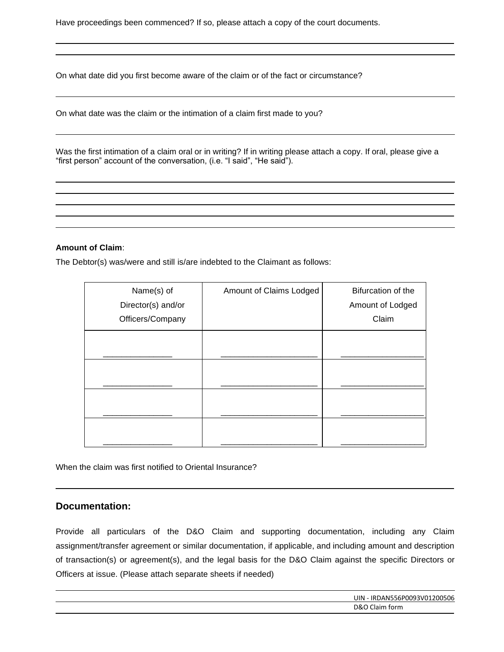Have proceedings been commenced? If so, please attach a copy of the court documents.

On what date did you first become aware of the claim or of the fact or circumstance?

On what date was the claim or the intimation of a claim first made to you?

Was the first intimation of a claim oral or in writing? If in writing please attach a copy. If oral, please give a "first person" account of the conversation, (i.e. "I said", "He said").

 $\overline{a}$ 

#### **Amount of Claim**:

 $\overline{a}$  $\overline{a}$ 

 $\overline{a}$ 

 $\overline{a}$ 

 $\overline{a}$  $\overline{a}$ 

 $\overline{a}$  $\overline{a}$ 

The Debtor(s) was/were and still is/are indebted to the Claimant as follows:

| Name(s) of<br>Director(s) and/or<br>Officers/Company | Amount of Claims Lodged | Bifurcation of the<br>Amount of Lodged<br>Claim |
|------------------------------------------------------|-------------------------|-------------------------------------------------|
|                                                      |                         |                                                 |
|                                                      |                         |                                                 |
|                                                      |                         |                                                 |
|                                                      |                         |                                                 |

When the claim was first notified to Oriental Insurance?

#### **Documentation:**

 $\overline{a}$ 

Provide all particulars of the D&O Claim and supporting documentation, including any Claim assignment/transfer agreement or similar documentation, if applicable, and including amount and description of transaction(s) or agreement(s), and the legal basis for the D&O Claim against the specific Directors or Officers at issue. (Please attach separate sheets if needed)

| UIN - IRDAN556P0093V01200506 |
|------------------------------|
| D&O Claim form               |